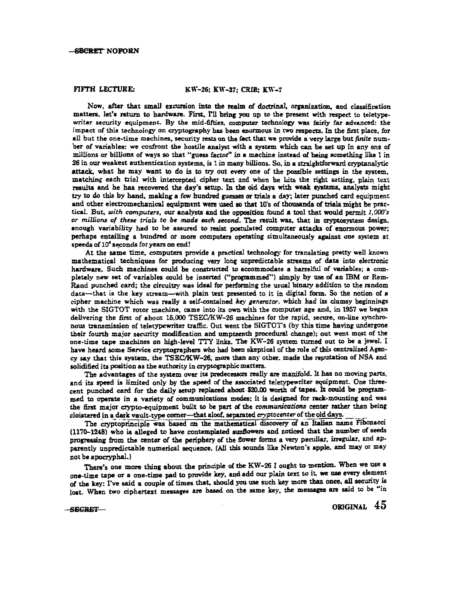## FIFTH LECTURE: KW-26; KW-37; CRIB; KW-7

Now, after that small ezcursion into the realm of doctrinal. organization. and classification matters, let's return to hardware. First, I'll bring you up to the present with respect to teletypewriter security equipment. By the mid-fifties, computer technology was fairly far advanced: the impact of this technology on cryptography has been enormous in two respects. In the first place, for all but the one-time machines, security rests on the fact that we provide a very large but *finite* number of variables: we confront the hostile analyst with a system which can be set up in any one of millions or billions of ways so that "guess factor" in a machine instead Of being something like 1 in 26 in our weakest authentication systems, is 1 in many billions. So, in a straightforward cryptanalytic attack, what he may want to do is to try out every one of the possible settings in the system. matching each trial with intercepted cipher text and when he hits the right setting, plain text results and be bas recovered the day's setup. In the old days with weak systems, analysts might t:y to do this by band, making a few hundred guesses ar trials a day; later punched card equipment and other electromechanical equipment were used so that 10's of thousands of trials might be practical. But, *with computers,* our analysts and the opposition found a tool that would permit *l,OOO's*  or millions of these trials to be made each second. The result was, that in cryptosystem design. enough variability had to be assured to resist postulated computer attacks of enormous power; perhaps entailing a hundred or more computers operating simultaneously against one system at speeds of 10<sup>4</sup> seconds for years on end!

At the same time, computers provide a practical technology for translating pretty well known mathematical techniques for producing very long unpredictable streams of data into electronic hardware. Such machines could be constructed to accommodate a barrelful of variables; a completely new set of variables could be inserted ("programmed") simply by use of an IBM or Rem-Rand punched card; the circuitry was ideal for performing the usual binary addition to the random data-that is the key stream-with plain text presented to it in digital form. So the notion of a cipher machine which was really a self-contained *key generator*. which had its clumsy beginnings with the SIGTOT rotor machine. came into its own with the computer age and. in 1957 we began delivering the first of about 15,000 TSEC/KW-26 machines for the rapid, secure. on-line synchro· nous transmission of teletypewriter traffic. Out went the SIGTOT's (by this time having undergone their fourth major security modification and umpteenth procedural change); out went most of the one-time tape machines on high-level 'ITY links. The KW-26 system turned out to be a jewel. I have heard some Service cryptographers who had been skeptical of the role of this centralized Agency say that this system. the TSEC/KW-26, more than any other. made the reputation of NSA and solidified its position as the authority in cryptographic matters.

The advantages of the system over its predecessors really are manifold. It has no moving parts, and its speed is limited only by the speed of the associated teletypewriter equipment. One threecent punched card for the daily setup replaced about \$20.00 worth of tapes. It could be programmed to operate in a variety of communications modes; it is designed for rack-mounting and was the first major crypto-equipment built to be part of the *communications* center rather than being cloistered in a dark vault-type comer-that aloof. separated *cryptocenter* of the old days.

The cryptoprinciple was based on the mathematical discovery of an Italian name Fibonacci (1170-1248) who is alleged to have contemplated sunflowers and noticed that the number of seeds progressing from the center of the periphery of the flower forms a very peculiar, irregular, and apparently unpredictable numerical sequence. (All this sounds like Newton's apple, and may or may not be apocryphal.)

There's one more thing about the principle *ol* the KW-26 I ought to mention. When we use a one-time tape or a one-time pad to provide key, and add our plain text to it, we use every element of the key: I've said a couple of times that, should you use such key more than once. all security is lost. When two ciphertext messages are based on the same key, the messages are said to be "in

 $-$  SECRET  $-$  ORIGINAL  $45$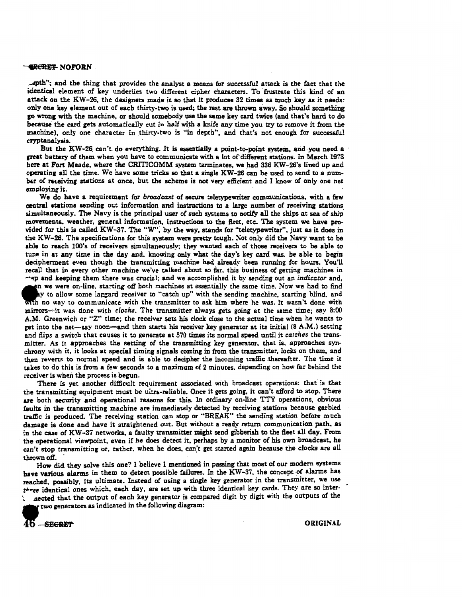## *GECRET NOFORN*

• .ipth"; and the thing that provides the analyst a means for successful attack is the fact that the identical element of key underlies two different cipher characters. To frustrate this kind of an attack on the KW-26, the designers made it so that it produces 32 times as much key as it needs: only one key element out of each thirty-two is used; the rest are thrown away. So should something go wrong with the machine, or should somebody use the same key cud twice (and that's hard to do beeause the card gets automatically cut in half with a knife any time you try to remove it from the machine), only one character in thirty-two is "in depth", and that's not enough for successful cryptanalysis.

But the KW-26 can't do everything. It is essentially a point-to-point system, and. you need a · great battery of them when you have to communicate with a lot of different stations. In March 1973 here at Fort Meade, where the CRITICOMM system terminates, we had 336 KW-26's lined up and operating all the time. We have some tricks so that a single KW-26 can be used to send to a number of receiving stations at once, but the scheme is not very efficient and I know of only one net employing it.

We do have a requirement for *broadcast* of secure teletypewriter communications, with a few central stations· sendinr out information and instructions to a large number of receiving stations simultaneously. The Navy is the principal user of such systems to notify all the ships at sea of ship movements, weather, general information, instructions to the fieet, etc. The system we have provided for this is called KW-37. The "VI"; by the way, stands for "teletypewriter", just as it does in the KW-26. The specifications for this system were pretty tough. Not only did the Navy want to be able to reach lOO's of receivers simultaneously; they wanted each of those receivers to be able to tune in at any time in the day and. knowing only what the day's key card was. be able to begin decipherment even though the transmitting machine bad already been running for hours. You'll recall that in every other machine we've talked about so far. this business of getting machines in

<sup>~</sup>.. ~p and keeping them there was crucial; and we accomplished it by sending out an *indicator* and, the were on-line, starting off both machines at essentially the same time. Now we had to find<br>ay to allow some laggard receiver to "catch up" with the sending machine, starting blind, and<br>with no way to communicate with th y to allow some laggard receiver to "catch up" with the sending machine, starting blind, and nth no way to communicate with the transmitter to ask him where he was. It wasn't done with mirrors--it was done with *clocks*. The transmitter always gets going at the same time; say 8:00 A.M. Greenwich or ''Z" time; the receiver sets his dock close to the actual time when he wants to get into the net-say noon-and then starts his receiver key generator at its initial (8 A.M.) setting and flips a switch that causes it to generate at 570 times its normal speed until it *catches* the transmitter. As it approaches the setting of the transmitting key generator, that is. approaches synchrony with it, it looks at special timing signals coming in from the transmitter, locks on them. and then reverts to normal speed and is able to decipher the incoming traffic thereafter. The time it takes to do this is from a few seconds to a maximum of 2 minutes, depending on how far behind the receiver is when the process is begun.

There is yet another difficult requirement associated with broadcast operations: that is that the transmitting equipment must be ultra-reliable. Once it gets going, it can't afford to stop. There are both security and operational reasons for this. In ordinary on-line TTY operations, obvious faults in the transmitting machine are immediately detected by receiving stations because garbled traffic is produced. The receiving station can stop or "BREAK" the sending station before much damage is done and have it straightened out. But without a ready retum communication path, as in the case of KW-37 networks, a faulty transmitter might send gibberish to the fteet all day. From the operational viewpoint, even if he does detect it, perhaps by a monitor of his own broadcast, he can't stop transmitting or, rather, when he does, can't get started again because the clocks are all

thrown off.<br>How did they solve this one? I believe I mentioned in passing that most of our modern systems have various alarms in them to detect possible failures. In the KW-37, the concept of alarms has reached. possibly, its ultimate. Instead of using a single key generator in the transmitter, we use *t"•et* identical ones which. each day, are set up with three identical key cards. They are so inter- \ JJected that the output of each key generator is compared digit by digit with the outputs of the

two generators as indicated in the following diagram:

s<del>ecret</del> original control of the control of the control of the control of the control of the control of the control of the control of the control of the control of the control of the control of the control of the control o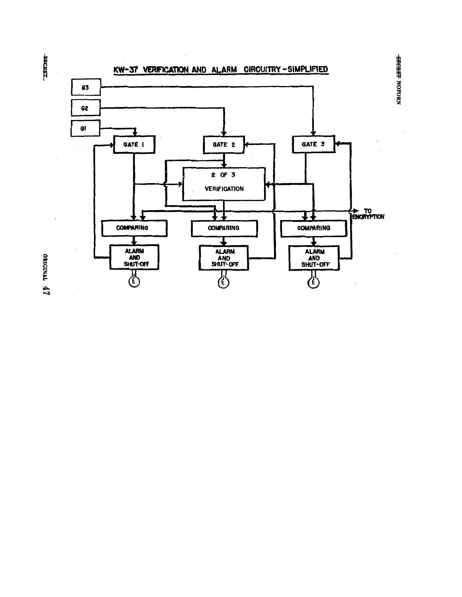

овиски 47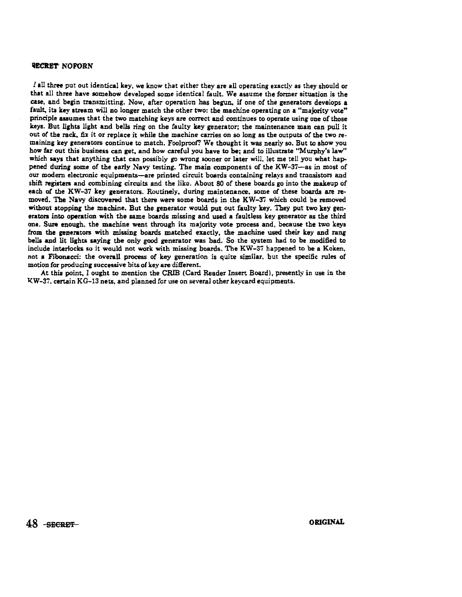## **WECRET NOFORN**

*i* all three put out identical key, we know that either they are all operating exactly as they should or that all three have somehow developed some identical fault. We assume the former situation is the case, and begin transmitting. Now, after operation has begun, if one of the generators develops a fault, its key stream will no longer match the other two: the machine operating on a "majority vote" principle assumes that the two matching keys are correct and continues to operate using one of those keys. But lights light and bells ring on the faulty key generator; the maintenance man can pull it out of the rack, fix it or replace it while the machine carries on so long as the outputs of the two remaining key generators continue to match. Foolproof? We thought it was nearly so. But to show you bow far out this business can get, and how careful you have to be; and to illustrate "Murphy's law" which says that anything that can possibly go wrong sooner or later will, let me tell you what happened during some of the early Navy testing. The main components of the KW-37-as in most of our modem electronic equipments-are printed circuit boards containing relays and transiston and shift registers and combining circuits and the like. About 80 of these boards go into the makeup of each of the KW-37 key generators. Routinely, during maintenance, some of these boards are removed. The Navy discovered that there were some boards in the KW-37 which could be removed without stopping the machine. But the generator would put out faulty key. They put two key generators into operation with the same boards missing and used a faultless key generator as the third one. Sure enough, the machine went through its majority vote process and, because the two keys from the eenerators with missing boards matched exactly, the machine used their key and rang bells and lit lights saying the only good generator was bad. So the system had to be modified to include interlocks so it would not work with missing boards. The KW-37 happened to be a Koken, not a Fibonacci: the overall process of key generation is quite similar. but the specific rules of motion for producine successive bits of key are different.

At this point. I ought to mention the CRIB (Card Reader Insert Board), presently in use in the 1<W-3i, certain KG-13 nets, and planned for use on several other keycard equipments.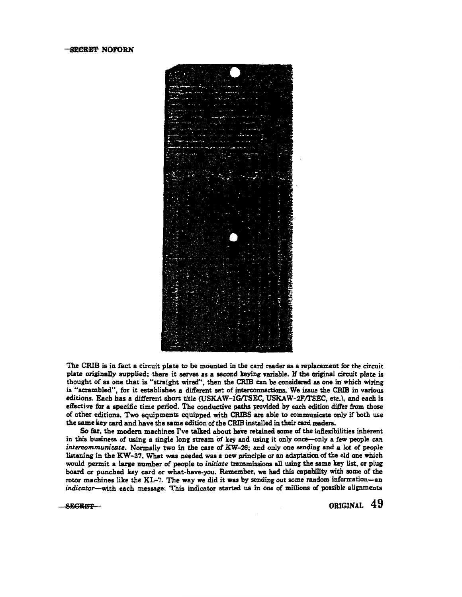

The CRIB is in fact a circuit plate to be mounted in the card reader as a replacement for the circuit plate originally supplied; there it serves as a second keying variable. If the original circuit plate is thought of as one that is "straight wired", then the CRIB can be considered as one in which wiring is "scrambled", for it establishes a different set of interconnections. We issue the CRIB in various editions. Each has a different short title (USKAW-1G/TSEC, USKAW-2F/TSEC, etc.), and each is effective for a specific time period. The conductive paths provided by each edition differ from those of other editions. Two equipments equipped with CRIBS are able to communicate only if both use the same key card and have the same edition of the CRIB installed in their card readers.

So far, the modern machines I've talked about have retained some of the inflexibilities inherent in this business of using a single long stream of key and using it only once-only a few people can *imercommunicate.* Normally two in the case of KW-26; and only one anding and a lot of people listening in the KW-37. What was needed was a new principle or an adaptation of the old one which would permit a large number of peopie to *initiate* transmissions all using the same key list, or plug board or punched key card or what-have-you. Remember, we had this capability with some of the rotor machines like the KL-7. The way we did it was by sending out some random information-an indicator-with each message. This indicator started us in one of millions of possible alignments

 $-$ secret $-$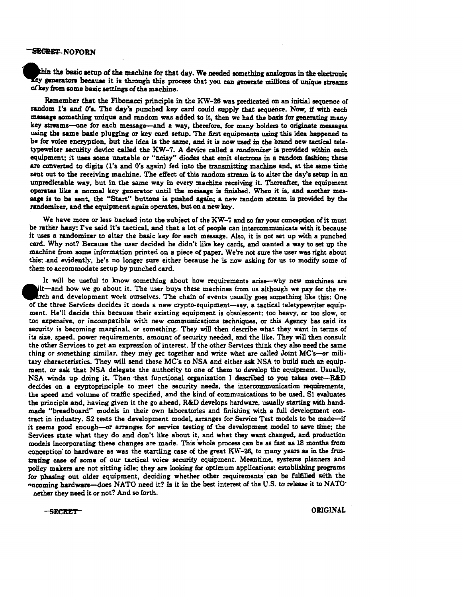## SECRET..NOFORN

thin the basic setup of the machine for that day. We needed something analogous in the electronic Ley generators because it is through this process that you can generate millions of unique streams of key ftom aome basic settings of the machine.

Remember that the Fibonacci principle in the KW-26 was predicated on an initial sequence of random 1's and 0's. The day's punched key card could supply that sequence. Now, if with each mesaage something unique and random was added to it, then we had the baaia for generating many key streams-one for each message-and a way, therefore, for many holders to originate messages using the same basic plugging or key card setup. The first equipments using this idea happened to be for voice encryption, but the idea is the same, and it is now used in the brand new tactical teletypewriter security device called the KW-7. A device called a *randomizer* is provided within each equipment; it uses some unstable or "noisy" diodes that emit electrons in a random fashion; these are converted to digits (1's and 0's again) fed into the transmitting machine and, at the same time sent out to the receiving machine. The effect of this random stream is to alter the day's setup in an unpredictable way, but in the same way in every machine receiving it. Thereafter, the equipment operates like a normal key generator until the message is finished. When it is, and another message ia to be sent, the "Start" buttons is pushed again; a new random stream is provided by the randomizer, and the equipment again operates, but on a new key.

We have more or less backed into the subject of the KW-7 and so far your conception of it must be rather hazy: I've said it's tactical, and that a lot of people can intercommunicate with it because it uses a randomizer to alter the basic key for each message. Also, it is not set up with a punched card. Why not? Because the user decided he didn't like key cards, and wanted a way to set up the machine from some information printed on a piece of paper. We're not sure the user was right about this; .and evidently, he's no longer sure either because he is now asking for us to modify some of them to accommodate setup by punched card.

It will be useful to know something about how requirements arise—why new machines are ilt-and how we go about it. The user buys these machines from us although we pay for the rearch and development work ourselves. The chain of events usually goes something like this: One of the three Services decides it needs a new crypto-equipment-say, a tactical teletypewriter equip. ment. He'll decide this because their existing equipment is obsolescent: too heavy, or too slow, or too expensive, or incompatible with new communications techniques., or this Agency has said its security is becoming marginal, or something. They will then describe what they want in terms of its size. speed, power requirements. amount of security needed, and the like. They will then consult the other Services to get an expression of interest. If the other Services think they also need the same thing or something similar, they may get together and write what are called Joint  $MC$ 's-or military characteristics. They will send these MC's to NSA and either ask NSA to build such an equipment. or ask that NSA delegate the authority to one of them to develop the equipment. Usually, NSA winds up doing it. Then that functional organization I described *to* you takes over-R&D decides on a cryptoprinciple to meet the security needs, the intercommunication requirements, the speed and volume of traffic specified, and the kind of communications to be used. SI evaluates the principle and, having given it the go ahead, R&D develops hardware, usually starting with handmade "breadboard" models in their own laboratories and finishing with a full development con. tract in industry. S2 tests the development model, arranges for Service Test models to be made-if it seems good enough-or arranges for service testing of the development model to save time; the Services state what they do and don't like about it, and what they want changed, and production models incorporating these changes are made. This ·whole process can be as fast as 1B months from conception to hardware as was the startling case of the great KW-26, to many years as in the frustrating case of some of our tactical voice security equipment. Meantime, systems planners and policy makers are not sitting idle; they are looking for optimum applications: establishing programs for phasing out older equipment, deciding whether other requirements can be fulfilled with the "ncoming hardware-does NATO need it? Is it in the best interest of the U.S. to release it to NATO nether they need it or not? And so forth.

•

SECRET ORIGINAL